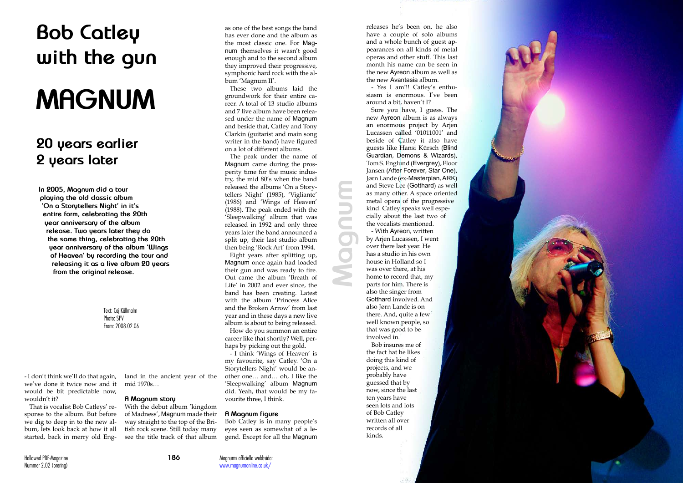

- I don't think we'll do that again, we've done it twice now and it would be bit predictable now, wouldn't it?

That is vocalist Bob Catleys' re sponse to the album. But before we dig to deep in to the new al bum, lets look back at how it all started, back in merry old Eng -

releases he's been on, he also have a couple of solo albums and a whole bunch of guest ap pearances on all kinds of metal operas and other stuff. This last month his name can be seen in the new Ayreon album as well as the new Avantasia album.

- Yes I am!!! Catley's enthu siasm is enormous. I've been around a bit, haven't I?

Sure you have, I guess. The new Ayreon album is as always an enormous project by Arjen Lucassen called '01011001' and beside of Catley it also have guests like Hansi Kürsch (Blind Guardian, Demons & Wizards), Tom S. Englund (Evergrey), Floor Jansen (After Forever, Star One), Jørn Lande (ex-Masterplan, ARK) and Steve Lee (Gotthard) as well as many other. A space oriented metal opera of the progressive kind. Catley speaks well espe cially about the last two of the vocalists mentioned.

- With Ayreon, written by Arjen Lucassen, I went over there last year. He has a studio in his own house in Holland so I was over there, at his home to record that, my parts for him. There is also the singer from Gotthard involved. And also Jørn Lande is on there. And, quite a few well known people, so that was good to be involved in.

Bob insures me of the fact hat he likes doing this kind of projects, and we probably have guessed that by now, since the last ten years have seen lots and lots of Bob Catley written all over records of all kinds.

## **Bob Catley with the gun**

# **MAGNUM**

### **20 years earlier 2 years later**

**In 2005, Magnum did a tour playing the old classic album 'On a Storytellers Night' in it's entire form, celebrating the 20th year anniversary of the album release. Two years later they do the same thing, celebrating the 20th year anniversary of the album 'Wings of Heaven' by recording the tour and releasing it as a live album 20 years from the original release.**

> Text: Caj Källmalm Photo: SPV From: 2008.02.06

> > land in the ancient year of the mid 1970s…

#### **A Magnum story**

With the debut album 'kingdom of Madness', Magnum made their way straight to the top of the Bri tish rock scene. Still today many see the title track of that album

as one of the best songs the band has ever done and the album as the most classic one. For Mag num themselves it wasn't good enough and to the second album they improved their progressive, symphonic hard rock with the al bum 'Magnum II'.

These two albums laid the groundwork for their entire ca reer. A total of 13 studio albums and 7 live album have been relea sed under the name of Magnum and beside that, Catley and Tony Clarkin (guitarist and main song writer in the band) have figured on a lot of different albums.

The peak under the name of Magnum came during the pros perity time for the music indus try, the mid 80's when the band released the albums 'On a Story tellers Night' (1985), 'Vigliante' (1986) and 'Wings of Heaven' (1988). The peak ended with the 'Sleepwalking' album that was released in 1992 and only three years later the band announced a split up, their last studio album then being 'Rock Art' from 1994.

Eight years after splitting up, Magnum once again had loaded their gun and was ready to fire. Out came the album 'Breath of Life' in 2002 and ever since, the band has been creating. Latest with the album 'Princess Alice and the Broken Arrow' from last year and in these days a new live album is about to being released.

How do you summon an entire career like that shortly? Well, per haps by picking out the gold.

- I think 'Wings of Heaven' is my favourite, say Catley. 'On a Storytellers Night' would be an other one… and… oh, I like the 'Sleepwalking' album Magnum did. Yeah, that would be my fa vourite three, I think.

#### **A Magnum figure**

Bob Catley is in many people's eyes seen as somewhat of a le gend. Except for all the Magnum **Magnum**

Magnums officiella webbsida: www.magnumonline.co.uk/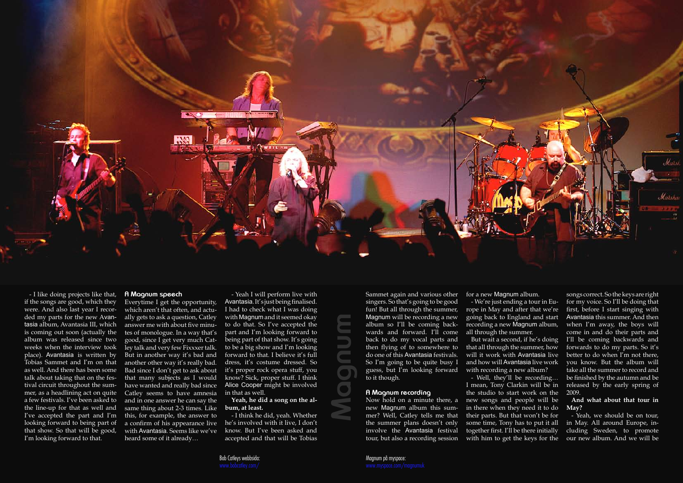- I like doing projects like that, if the songs are good, which they were. And also last year I recorded my parts for the new Avantasia album, Avantasia III, which is coming out soon (actually the album was released since two weeks when the interview took place). Avantasia is written by Tobias Sammet and I'm on that as well. And there has been some talk about taking that on the festival circuit throughout the summer, as a headlining act on quite a few festivals. I've been asked to the line-up for that as well and I've accepted the part and I'm looking forward to being part of that show. So that will be good, I'm looking forward to that.

#### **A Magnum speech**

Everytime I get the opportunity, which aren't that often, and actually gets to ask a question, Catley answer me with about five minutes of monologue. In a way that's good, since I get very much Catley talk and very few Fixxxer talk. But in another way it's bad and another other way it's really bad. Bad since I don't get to ask about that many subjects as I would have wanted and really bad since Catley seems to have amnesia and in one answer he can say the same thing about 2-3 times. Like this, for example, the answer to a confirm of his appearance live with Avantasia. Seems like we've heard some of it already…

But wait a second, if he's doing that all through the summer, how will it work with Avantasia live and how will Avantasia live work with recording a new album?

- Yeah I will perform live with Avantasia. It's just being finalised. I had to check what I was doing with Magnum and it seemed okay to do that. So I've accepted the part and I'm looking forward to being part of that show. It's going to be a big show and I'm looking forward to that. I believe it's full dress, it's costume dressed. So it's proper rock opera stuff, you know? Sick, proper stuff. I think Alice Cooper might be involved in that as well.

#### **Yeah, he did a song on the album, at least.**

- I think he did, yeah. Whether he's involved with it live, I don't know. But I've been asked and accepted and that will be Tobias Sammet again and various other singers. So that's going to be good fun! But all through the summer, Magnum will be recording a new album so I'll be coming backwards and forward. I'll come back to do my vocal parts and then flying of to somewhere to do one of this Avantasia festivals. So I'm going to be quite busy I guess, but I'm looking forward to it though.

#### **A Magnum recording**

Now hold on a minute there, a new Magnum album this summer? Well, Catley tells me that the summer plans doesn't only involve the Avantasia festival tour, but also a recording session for a new Magnum album.

- We're just ending a tour in Europe in May and after that we're going back to England and start recording a new Magnum album, all through the summer.

- Well, they'll be recording…

I mean, Tony Clarkin will be in the studio to start work on the new songs and people will be in there when they need it to do their parts. But that won't be for some time, Tony has to put it all together first. I'll be there initially with him to get the keys for the

songs correct. So the keys are right for my voice. So I'll be doing that first, before I start singing with Avantasia this summer. And then when I'm away, the boys will come in and do their parts and I'll be coming backwards and forwards to do my parts. So it's better to do when I'm not there, you know. But the album will take all the summer to record and be finished by the autumn and be released by the early spring of 2009.

#### **And what about that tour in May?**

- Yeah, we should be on tour, in May. All around Europe, including Sweden, to promote our new album. And we will be



**Magnum**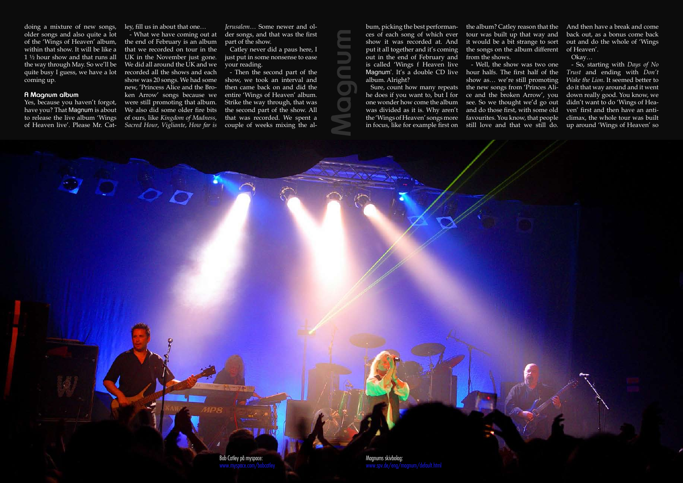doing a mixture of new songs, older songs and also quite a lot of the 'Wings of Heaven' album, within that show. It will be like a 1 ½ hour show and that runs all the way through May. So we'll be quite busy I guess, we have a lot coming up.

#### **A Magnum album**

Yes, because you haven't forgot, have you? That Magnum is about to release the live album 'Wings

ley, fill us in about that one…

of Heaven live'. Please Mr. Cat-*Sacred Hour*, *Vigliante*, *How far is*  - What we have coming out at the end of February is an album that we recorded on tour in the UK in the November just gone. We did all around the UK and we recorded all the shows and each show was 20 songs. We had some new, 'Princess Alice and the Broken Arrow' songs because we were still promoting that album. We also did some older fire bits of ours, like *Kingdom of Madness*,

*Jerusalem*… Some newer and older songs, and that was the first part of the show.

Catley never did a paus here, I just put in some nonsense to ease your reading.

- Then the second part of the show, we took an interval and then came back on and did the entire 'Wings of Heaven' album. Strike the way through, that was the second part of the show. All that was recorded. We spent a couple of weeks mixing the al-

bum, picking the best performances of each song of which ever show it was recorded at. And put it all together and it's coming out in the end of February and is called 'Wings f Heaven live Magnum'. It's a double CD live hour halfs. The first half of the album. Alright?

the album? Catley reason that the And then have a break and come tour was built up that way and it would be a bit strange to sort the songs on the album different of Heaven'. from the shows.

Sure, count how many repeats the new songs from 'Princes Ali-- Well, the show was two one show as… we're still promoting ce and the broken Arrow', you see. So we thought we'd go out and do those first, with some old favourites. You know, that people

he does if you want to, but I for one wonder how come the album was divided as it is. Why aren't the 'Wings of Heaven' songs more in focus, like for example first on still love and that we still do.

back out, as a bonus come back out and do the whole of 'Wings

Okay…

- So, starting with *Days of No Trust* and ending with *Don't Wake the Lion*. It seemed better to do it that way around and it went down really good. You know, we didn't want to do 'Wings of Heaven' first and then have an anticlimax, the whole tour was built up around 'Wings of Heaven' so

**Magnum**

Bob Catley på myspace:

Magnums skivbolag: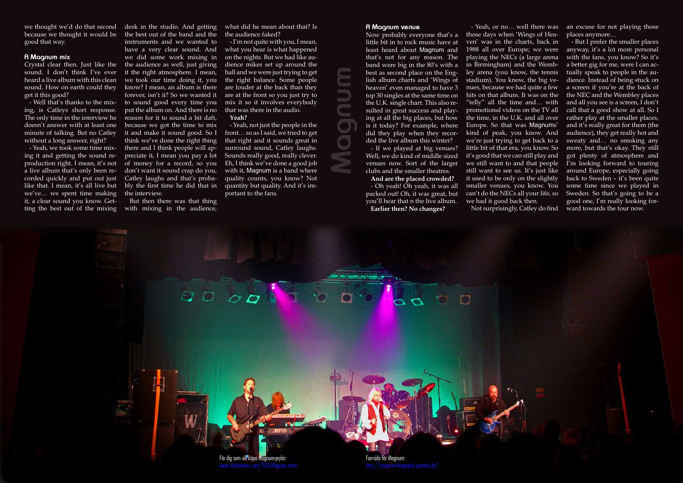we thought we'd do that second desk in the studio. And getting because we thought it would be good that way.

- Well that's thanks to the mixing, is Catleys short response. The only time in the interview he doesn't answer with at least one minute of talking. But no Catley without a long answer, right?

#### **A Magnum mix**

sound. I don't think I've ever heard a live album with this clean sound. How on earth could they get it this good?

Crystal clear then. Just like the the audience as well, just giving the best out of the band and the instruments and we wanted to have a very clear sound. And we did some work mixing in it the right atmosphere. I mean, we took our time doing it, you know? I mean, an album is there forever, isn't it? So we wanted it to sound good every time you put the album on. And there is no reason for it to sound a bit daft, because we got the time to mix it and make it sound good. So I think we've done the right thing there and I think people will appreciate it, I mean you pay a lot of money for a record, so you don't want it sound crap do you, Catley laughs and that's probably the first time he did that in the interview.

- Yeah, we took some time mixing it and getting the sound reproduction right. I mean, it's not a live album that's only been recorded quickly and put out just like that. I mean, it's all live but we've… we spent time making it, a clear sound you know. Getting the best out of the mixing with mixing in the audience,

But then there was that thing

what did he mean about that? Is the audience faked?

- I'm not quite with you, I mean, what you hear is what happened on the nights. But we had like audience mikes set up around the hall and we were just trying to get the right balance. Some people are louder at the back than they are at the front so you just try to mix it so it involves everybody that was there in the audio.

#### **Yeah?**

- Yeah, not just the people in the front… so as I said, we tried to get that right and it sounds great in surround sound, Catley laughs. Sounds really good, really clever. Eh, I think we've done a good job with it, Magnum is a band where quality counts, you know? Not quantity but quality. And it's important to the fans.

#### **A Magnum venue**

little bit in to rock music have at least heard about Magnum and that's not for any reason. The band were big in the 80's with a best as second place on the English album charts and 'Wings of heaven' even managed to have 3 top 30 singles at the same time on the U.K. single chart. This also resulted in great success and playing at all the big places, but how is it today? For example, where did they play when they recorded the live album this winter?

- If we played at big venues? Well, we do kind of middle sized venues now. Sort of the larger clubs and the smaller theatres.

**And are the placed crowded?** - Oh yeah! Oh yeah, it was all packed out! Oh, it was great, but you'll hear that n the live album. **Earlier then? No changes?**

Now probably everyone that's a those days when 'Wings of Heaven' was in the charts, back in 1988 all over Europe; we were playing the NECs (a large arena in Birmingham) and the Wembley arena (you know, the tennis stadium). You know, the big venues, because we had quite a few hits on that album. It was on the "telly" all the time and… with promotional videos on the TV all the time, in the U.K. and all over Europe. So that was Magnums' kind of peak, you know. And we're just trying to get back to a little bit of that era, you know. So it's good that we can still play and we still want to and that people still want to see us. It's just like it used to be only on the slightly smaller venues, you know. You can't do the NECs all your life, so we had it good back then.

- Yeah, or no… well there was an excuse for not playing those places anymore…

Not surprisingly, Catley do find

- But I prefer the smaller places anyway, it's a lot more personal with the fans, you know? So it's a better gig for me, were I can actually speak to people in the audience. Instead of being stuck on a screen if you're at the back of the NEC and the Wembley places and all you see is a screen, I don't call that a good show at all. So I rather play at the smaller places, and it's really great for them (the audience), they get really hot and sweaty and… no smoking any more, but that's okay. They still got plenty of atmosphere and I'm looking forward to touring around Europe, especially going back to Sweden – it's been quite some time since we played in Sweden. So that's going to be a good one, I'm really looking forward towards the tour now.

**Magnum**



Fan-sida för Magnum: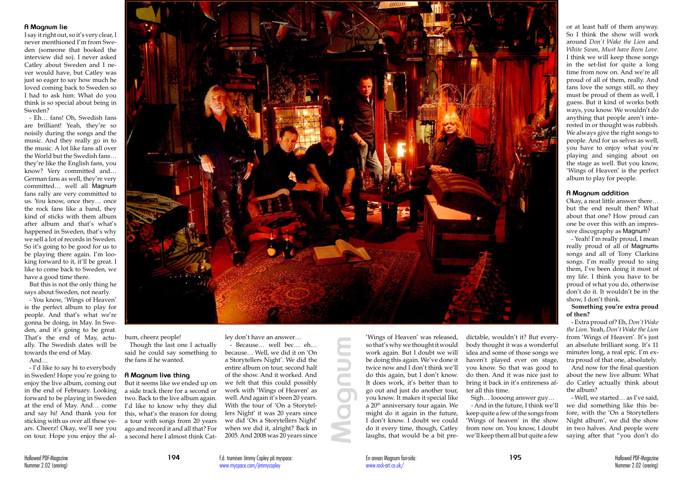#### **A Magnum lie**

I say it right out, so it's very clear, I never menthioned I'm from Sweden (someone that booked the interview did so). I never asked Catley about Sweden and I never would have, but Catley was just so eager to say how much he loved coming back to Sweden so I had to ask him: What do you think is so special about being in Sweden?

- Eh… fans! Oh, Swedish fans are brilliant! Yeah, they're so noisily during the songs and the music. And they really go in to the music. A lot like fans all over the World but the Swedish fans… they're like the English fans, you know? Very committed and… German fans as well, they're very committed… well all Magnum fans rally are very committed to us. You know, once they… once the rock fans like a band, they kind of sticks with them album after album and that's what's happened in Sweden, that's why we sell a lot of records in Sweden. So it's going to be good for us to be playing there again. I'm looking forward to it, it'll be great. I like to come back to Sweden, we have a good time there.

But this is not the only thing he says about Sweden, not nearly.

- You know, 'Wings of Heaven' is the perfect album to play for people. And that's what we're gonna be doing, in May. In Sweden, and it's going to be great. That's the end of May, actually. The Swedish dates will be towards the end of May.

And…

- I'd like to say hi to everybody in Sweden! Hope you're going to enjoy the live album, coming out in the end of February. Looking forward to be playing in Sweden at the end of May. And… come and say hi! And thank you for sticking with us over all these years. Cheerz! Okay, we'll see you on tour. Hope you enjoy the al-



bum, cheerz people!

Though the last one I actually said he could say something to the fans if he wanted.

#### **A Magnum live thing**

But it seems like we ended up on a side track there for a second or two. Back to the live album again. I'd like to know why they did this, what's the reason for doing a tour with songs from 20 years ago and record it and all that? For a second here I almost think Catley don't have an answer…

- Because… well bec… eh… because… Well, we did it on 'On a Storytellers Night'. We did the entire album on tour, second half of the show. And it worked. And we felt that this could possibly work with 'Wings of Heaven' as well. And again it's been 20 years. With the tour of 'On a Storytellers Night' it was 20 years since we did 'On a Storytellers Night' when we did it, alright? Back in 2005. And 2008 was 20 years since

'Wings of Heaven' was released, so that's why we thought it would work again. But I doubt we will be doing this again. We've done it twice now and I don't think we'll do this again, but I don't know. It does work, it's better than to go out and just do another tour, you know. It makes it special like  $a$  20<sup>th</sup> anniversary tour again. We might do it again in the future, I don't know. I doubt we could do it every time, though, Catley laughs, that would be a bit predictable, wouldn't it? But everybody thought it was a wonderful idea and some of those songs we haven't played ever on stage, you know. So that was good to do then. And it was nice just to bring it back in it's entireness after all this time.

Sigh… loooong answer guy… - And in the future, I think we'll keep quite a few of the songs from 'Wings of heaven' in the show from now on. You know, I doubt we'll keep them all but quite a few

or at least half of them anyway. So I think the show will work around *Don't Wake the Lion* and *White Swan*, *Must have Been Love*. I think we will keep those songs in the set-list for quite a long time from now on. And we're all proud of all of them, really. And fans love the songs still, so they must be proud of them as well, I guess. But it kind of works both ways, you know. We wouldn't do anything that people aren't interested in or thought was rubbish. We always give the right songs to people. And for us selves as well, you have to enjoy what you're playing and singing about on the stage as well. But you know, 'Wings of Heaven' is the perfect album to play for people.

#### **A Magnum addition**

Okay, a neat little answer there… but the end result then? What about that one? How proud can one be over this with an impressive discography as Magnum?

- Yeah! I'm really proud, I mean really proud of all of Magnums songs and all of Tony Clarkins songs. I'm really proud to sing them, I've been doing it most of my life. I think you have to be proud of what you do, otherwise don't do it. It wouldn't be in the show, I don't think.

**Something you're extra proud of then?**

- Extra proud of? Eh, *Don't Wake the Lion*. Yeah, *Don't Wake the Lion* from 'Wings of Heaven'. It's just an absolute brilliant song. It's 11 minutes long, a real epic. I'm extra proud of that one, absolutely.

And now for the final question about the new live album: What do Catley actually think about the album?

- Well, we started… as I've said, we did something like this before, with the 'On a Storytellers Night album', we did the show in two halves. And people were saying after that "you don't do

**Magnum**

f.d. trumisen Jimmy Copley på myspace: www.myspace.com/jimmycopley